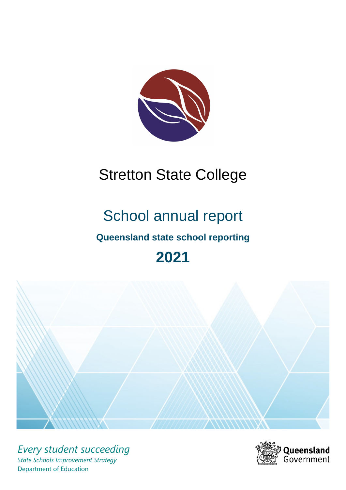

# Stretton State College

# School annual report

# **Queensland state school reporting**

# **2021**



*Every student succeeding State Schools Improvement Strategy* Department of Education

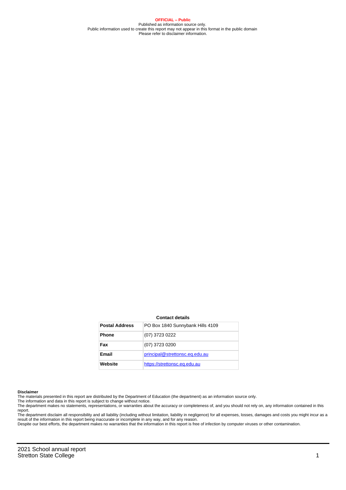**OFFICIAL – Public** Published as information source only. Public information used to create this report may not appear in this format in the public domain Please refer to disclaimer information.

#### **Contact details**

| <b>Postal Address</b> | PO Box 1840 Sunnybank Hills 4109 |
|-----------------------|----------------------------------|
| <b>Phone</b>          | (07) 3723 0222                   |
| Fax                   | (07) 3723 0200                   |
| Email                 | principal@strettonsc.eq.edu.au   |
| Website               | https://strettonsc.eq.edu.au     |

#### **Disclaimer**

The materials presented in this report are distributed by the Department of Education (the department) as an information source only.

The information and data in this report is subject to change without notice.<br>The department makes no statements, representations, or warranties about the accuracy or completeness of, and you should not rely on, any informa report.

The department disclaim all responsibility and all liability (including without limitation, liability in negligence) for all expenses, losses, damages and costs you might incur as a result of the information in this report being inaccurate or incomplete in any way, and for any reason.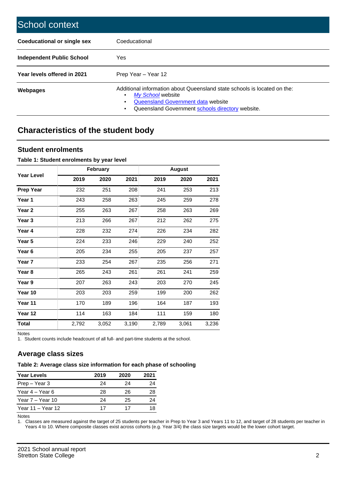| School context                   |                                                                                                                                                                                              |
|----------------------------------|----------------------------------------------------------------------------------------------------------------------------------------------------------------------------------------------|
| Coeducational or single sex      | Coeducational                                                                                                                                                                                |
| <b>Independent Public School</b> | <b>Yes</b>                                                                                                                                                                                   |
| Year levels offered in 2021      | Prep Year - Year 12                                                                                                                                                                          |
| Webpages                         | Additional information about Queensland state schools is located on the:<br>My School website<br>Queensland Government data website<br>Queensland Government schools directory website.<br>٠ |

# **Characteristics of the student body**

#### **Student enrolments**

#### **Table 1: Student enrolments by year level**

|                   |       | <b>February</b> |       |       | <b>August</b> |       |
|-------------------|-------|-----------------|-------|-------|---------------|-------|
| <b>Year Level</b> | 2019  | 2020            | 2021  | 2019  | 2020          | 2021  |
| <b>Prep Year</b>  | 232   | 251             | 208   | 241   | 253           | 213   |
| Year 1            | 243   | 258             | 263   | 245   | 259           | 278   |
| Year 2            | 255   | 263             | 267   | 258   | 263           | 269   |
| Year 3            | 213   | 266             | 267   | 212   | 262           | 275   |
| Year 4            | 228   | 232             | 274   | 226   | 234           | 282   |
| Year 5            | 224   | 233             | 246   | 229   | 240           | 252   |
| Year 6            | 205   | 234             | 255   | 205   | 237           | 257   |
| Year <sub>7</sub> | 233   | 254             | 267   | 235   | 256           | 271   |
| Year 8            | 265   | 243             | 261   | 261   | 241           | 259   |
| Year 9            | 207   | 263             | 243   | 203   | 270           | 245   |
| Year 10           | 203   | 203             | 259   | 199   | 200           | 262   |
| Year 11           | 170   | 189             | 196   | 164   | 187           | 193   |
| Year 12           | 114   | 163             | 184   | 111   | 159           | 180   |
| <b>Total</b>      | 2,792 | 3,052           | 3,190 | 2,789 | 3,061         | 3,236 |

Notes

1. Student counts include headcount of all full- and part-time students at the school.

#### **Average class sizes**

#### **Table 2: Average class size information for each phase of schooling**

| <b>Year Levels</b> | 2019 | 2020 | 2021 |
|--------------------|------|------|------|
| Prep – Year 3      | 24   | 24   | 24   |
| Year 4 – Year 6    | 28   | 26   | 28   |
| Year 7 – Year 10   | 24   | 25   | 24   |
| Year 11 – Year 12  | 17   | 17   | 18   |

Notes

1. Classes are measured against the target of 25 students per teacher in Prep to Year 3 and Years 11 to 12, and target of 28 students per teacher in Years 4 to 10. Where composite classes exist across cohorts (e.g. Year 3/4) the class size targets would be the lower cohort target.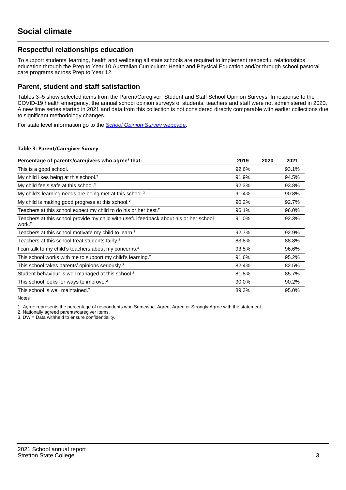#### **Respectful relationships education**

To support students' learning, health and wellbeing all state schools are required to implement respectful relationships education through the Prep to Year 10 Australian Curriculum: Health and Physical Education and/or through school pastoral care programs across Prep to Year 12.

#### **Parent, student and staff satisfaction**

Tables 3–5 show selected items from the Parent/Caregiver, Student and Staff School Opinion Surveys. In response to the COVID-19 health emergency, the annual school opinion surveys of students, teachers and staff were not administered in 2020. A new time series started in 2021 and data from this collection is not considered directly comparable with earlier collections due to significant methodology changes.

For state level information go to the **[School Opinion Survey](https://qed.qld.gov.au/publications/reports/statistics/schooling/schools/schoolopinionsurvey) webpage**.

#### **Table 3: Parent/Caregiver Survey**

| Percentage of parents/caregivers who agree <sup>1</sup> that:                                               | 2019  | 2020 | 2021  |
|-------------------------------------------------------------------------------------------------------------|-------|------|-------|
| This is a good school.                                                                                      | 92.6% |      | 93.1% |
| My child likes being at this school. <sup>2</sup>                                                           | 91.9% |      | 94.5% |
| My child feels safe at this school. <sup>2</sup>                                                            | 92.3% |      | 93.8% |
| My child's learning needs are being met at this school. <sup>2</sup>                                        | 91.4% |      | 90.8% |
| My child is making good progress at this school. <sup>2</sup>                                               | 90.2% |      | 92.7% |
| Teachers at this school expect my child to do his or her best. <sup>2</sup>                                 | 96.1% |      | 96.0% |
| Teachers at this school provide my child with useful feedback about his or her school<br>work. <sup>2</sup> | 91.0% |      | 92.3% |
| Teachers at this school motivate my child to learn. <sup>2</sup>                                            | 92.7% |      | 92.9% |
| Teachers at this school treat students fairly. <sup>2</sup>                                                 | 83.8% |      | 88.8% |
| I can talk to my child's teachers about my concerns. <sup>2</sup>                                           | 93.5% |      | 96.6% |
| This school works with me to support my child's learning. <sup>2</sup>                                      | 91.6% |      | 95.2% |
| This school takes parents' opinions seriously. <sup>2</sup>                                                 | 82.4% |      | 82.5% |
| Student behaviour is well managed at this school. <sup>2</sup>                                              | 81.8% |      | 85.7% |
| This school looks for ways to improve. <sup>2</sup>                                                         | 90.0% |      | 90.2% |
| This school is well maintained. <sup>2</sup>                                                                | 89.3% |      | 95.0% |

Notes

1. Agree represents the percentage of respondents who Somewhat Agree, Agree or Strongly Agree with the statement.

2. Nationally agreed parents/caregiver items.

3. DW = Data withheld to ensure confidentiality.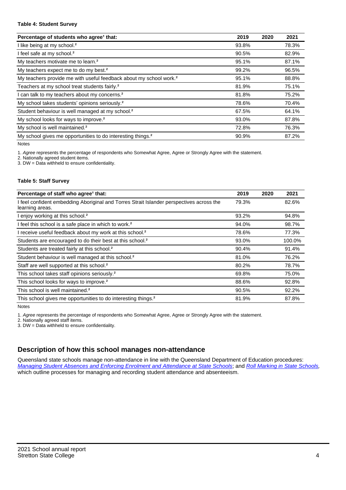#### **Table 4: Student Survey**

| Percentage of students who agree <sup>1</sup> that:                            | 2019  | 2020 | 2021  |
|--------------------------------------------------------------------------------|-------|------|-------|
| I like being at my school. <sup>2</sup>                                        | 93.8% |      | 78.3% |
| I feel safe at my school. <sup>2</sup>                                         | 90.5% |      | 82.9% |
| My teachers motivate me to learn. <sup>2</sup>                                 | 95.1% |      | 87.1% |
| My teachers expect me to do my best. <sup>2</sup>                              | 99.2% |      | 96.5% |
| My teachers provide me with useful feedback about my school work. <sup>2</sup> | 95.1% |      | 88.8% |
| Teachers at my school treat students fairly. <sup>2</sup>                      | 81.9% |      | 75.1% |
| I can talk to my teachers about my concerns. <sup>2</sup>                      | 81.8% |      | 75.2% |
| My school takes students' opinions seriously. <sup>2</sup>                     | 78.6% |      | 70.4% |
| Student behaviour is well managed at my school. <sup>2</sup>                   | 67.5% |      | 64.1% |
| My school looks for ways to improve. <sup>2</sup>                              | 93.0% |      | 87.8% |
| My school is well maintained. <sup>2</sup>                                     | 72.8% |      | 76.3% |
| My school gives me opportunities to do interesting things. <sup>2</sup>        | 90.9% |      | 87.2% |

Notes

1. Agree represents the percentage of respondents who Somewhat Agree, Agree or Strongly Agree with the statement.

2. Nationally agreed student items.

3. DW = Data withheld to ensure confidentiality.

#### **Table 5: Staff Survey**

| Percentage of staff who agree <sup>1</sup> that:                                                            | 2019  | 2020 | 2021   |
|-------------------------------------------------------------------------------------------------------------|-------|------|--------|
| I feel confident embedding Aboriginal and Torres Strait Islander perspectives across the<br>learning areas. | 79.3% |      | 82.6%  |
| I enjoy working at this school. <sup>2</sup>                                                                | 93.2% |      | 94.8%  |
| I feel this school is a safe place in which to work. <sup>2</sup>                                           | 94.0% |      | 98.7%  |
| I receive useful feedback about my work at this school. <sup>2</sup>                                        | 78.6% |      | 77.3%  |
| Students are encouraged to do their best at this school. <sup>2</sup>                                       | 93.0% |      | 100.0% |
| Students are treated fairly at this school. <sup>2</sup>                                                    | 90.4% |      | 91.4%  |
| Student behaviour is well managed at this school. <sup>2</sup>                                              | 81.0% |      | 76.2%  |
| Staff are well supported at this school. <sup>2</sup>                                                       | 80.2% |      | 78.7%  |
| This school takes staff opinions seriously. <sup>2</sup>                                                    | 69.8% |      | 75.0%  |
| This school looks for ways to improve. <sup>2</sup>                                                         | 88.6% |      | 92.8%  |
| This school is well maintained. <sup>2</sup>                                                                | 90.5% |      | 92.2%  |
| This school gives me opportunities to do interesting things. <sup>2</sup>                                   | 81.9% |      | 87.8%  |

Notes

1. Agree represents the percentage of respondents who Somewhat Agree, Agree or Strongly Agree with the statement.

2. Nationally agreed staff items.

3. DW = Data withheld to ensure confidentiality.

#### **Description of how this school manages non-attendance**

Queensland state schools manage non-attendance in line with the Queensland Department of Education procedures: [Managing Student Absences and Enforcing Enrolment and Attendance at State Schools](https://ppr.qed.qld.gov.au/pp/managing-student-absences-and-enforcing-enrolment-and-attendance-at-state-schools-procedure); and [Roll Marking in State Schools,](https://ppr.qed.qld.gov.au/pp/roll-marking-in-state-schools-procedure) which outline processes for managing and recording student attendance and absenteeism.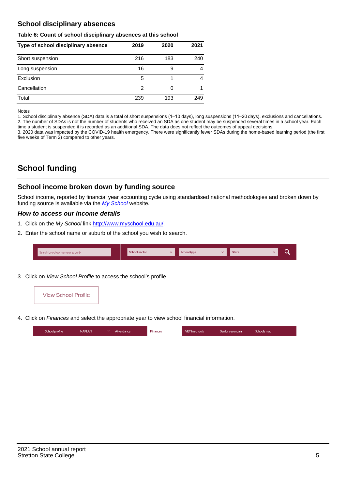#### **School disciplinary absences**

#### **Table 6: Count of school disciplinary absences at this school**

| Type of school disciplinary absence | 2019 | 2020 | 2021 |
|-------------------------------------|------|------|------|
| Short suspension                    | 216  | 183  | 240  |
| Long suspension                     | 16   | 9    | 4    |
| Exclusion                           | 5    |      | 4    |
| Cancellation                        | 2    |      |      |
| Total                               | 239  | 193  | 249  |

Notes

1. School disciplinary absence (SDA) data is a total of short suspensions (1–10 days), long suspensions (11–20 days), exclusions and cancellations. 2. The number of SDAs is not the number of students who received an SDA as one student may be suspended several times in a school year. Each time a student is suspended it is recorded as an additional SDA. The data does not reflect the outcomes of appeal decisions.

3. 2020 data was impacted by the COVID-19 health emergency. There were significantly fewer SDAs during the home-based learning period (the first five weeks of Term 2) compared to other years.

# **School funding**

#### **School income broken down by funding source**

School income, reported by financial year accounting cycle using standardised national methodologies and broken down by funding source is available via the [My School](http://www.myschool.edu.au/) website.

#### **How to access our income details**

- 1. Click on the My School link <http://www.myschool.edu.au/>.
- 2. Enter the school name or suburb of the school you wish to search.

| Search by school name or suburb | <b>School sector</b> | School type | <b>State</b> |  |
|---------------------------------|----------------------|-------------|--------------|--|
|                                 |                      |             |              |  |

3. Click on View School Profile to access the school's profile.



4. Click on Finances and select the appropriate year to view school financial information.

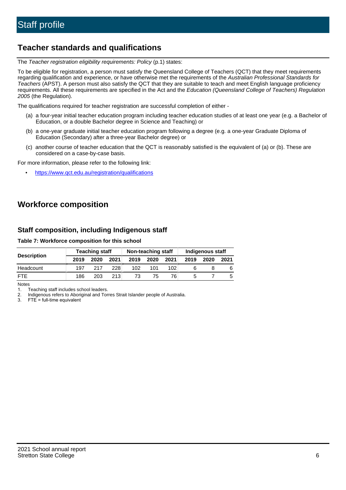# **Teacher standards and qualifications**

The Teacher registration eligibility requirements: Policy (p.1) states:

To be eligible for registration, a person must satisfy the Queensland College of Teachers (QCT) that they meet requirements regarding qualification and experience, or have otherwise met the requirements of the Australian Professional Standards for Teachers (APST). A person must also satisfy the QCT that they are suitable to teach and meet English language proficiency requirements. All these requirements are specified in the Act and the Education (Queensland College of Teachers) Regulation 2005 (the Regulation).

The qualifications required for teacher registration are successful completion of either -

- (a) a four-year initial teacher education program including teacher education studies of at least one year (e.g. a Bachelor of Education, or a double Bachelor degree in Science and Teaching) or
- (b) a one-year graduate initial teacher education program following a degree (e.g. a one-year Graduate Diploma of Education (Secondary) after a three-year Bachelor degree) or
- (c) another course of teacher education that the QCT is reasonably satisfied is the equivalent of (a) or (b). These are considered on a case-by-case basis.

For more information, please refer to the following link:

• <https://www.qct.edu.au/registration/qualifications>

# **Workforce composition**

#### **Staff composition, including Indigenous staff**

#### **Table 7: Workforce composition for this school**

|                    | <b>Teaching staff</b> |      |      | Non-teaching staff |      |      | Indigenous staff |      |      |
|--------------------|-----------------------|------|------|--------------------|------|------|------------------|------|------|
| <b>Description</b> | 2019                  | 2020 | 2021 | 2019               | 2020 | 2021 | 2019             | 2020 | 2021 |
| Headcount          | 197                   | 217  | 228  | 102                | 101  | 102. |                  |      |      |
| <b>FTF</b>         | 186                   | 203  | 213  | 73                 | 75   | 76   |                  |      |      |

Notes

1. Teaching staff includes school leaders.

2. Indigenous refers to Aboriginal and Torres Strait Islander people of Australia.

3. FTE = full-time equivalent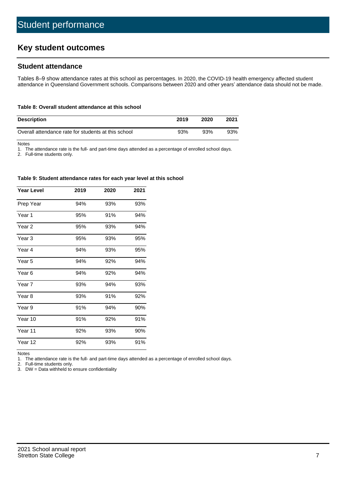# **Key student outcomes**

#### **Student attendance**

Tables 8–9 show attendance rates at this school as percentages. In 2020, the COVID-19 health emergency affected student attendance in Queensland Government schools. Comparisons between 2020 and other years' attendance data should not be made.

#### **Table 8: Overall student attendance at this school**

| <b>Description</b>                                  | 2019 | 2020 | 2021 |
|-----------------------------------------------------|------|------|------|
| Overall attendance rate for students at this school | 93%  | 93%  | 93%  |

Notes

1. The attendance rate is the full- and part-time days attended as a percentage of enrolled school days.

2. Full-time students only.

#### **Table 9: Student attendance rates for each year level at this school**

| <b>Year Level</b> | 2019 | 2020 | 2021 |
|-------------------|------|------|------|
| Prep Year         | 94%  | 93%  | 93%  |
| Year 1            | 95%  | 91%  | 94%  |
| Year 2            | 95%  | 93%  | 94%  |
| Year <sub>3</sub> | 95%  | 93%  | 95%  |
| Year 4            | 94%  | 93%  | 95%  |
| Year 5            | 94%  | 92%  | 94%  |
| Year 6            | 94%  | 92%  | 94%  |
| Year 7            | 93%  | 94%  | 93%  |
| Year <sub>8</sub> | 93%  | 91%  | 92%  |
| Year 9            | 91%  | 94%  | 90%  |
| Year 10           | 91%  | 92%  | 91%  |
| Year 11           | 92%  | 93%  | 90%  |
| Year 12           | 92%  | 93%  | 91%  |

Notes<br>1. Th The attendance rate is the full- and part-time days attended as a percentage of enrolled school days.

2. Full-time students only.

3. DW = Data withheld to ensure confidentiality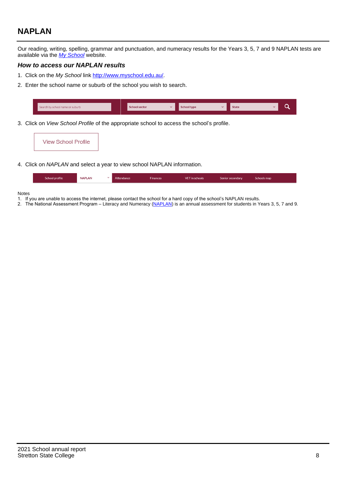# **NAPLAN**

Our reading, writing, spelling, grammar and punctuation, and numeracy results for the Years 3, 5, 7 and 9 NAPLAN tests are available via the [My School](http://www.myschool.edu.au/) website.

#### **How to access our NAPLAN results**

- 1. Click on the My School link <http://www.myschool.edu.au/>.
- 2. Enter the school name or suburb of the school you wish to search.

| Search by school name or suburb | <b>School sector</b> | <b>School type</b>                        |          | <b>State</b> |  |
|---------------------------------|----------------------|-------------------------------------------|----------|--------------|--|
|                                 |                      |                                           |          |              |  |
|                                 |                      | $\sim$ $\sim$ $\sim$ $\sim$ $\sim$ $\sim$ | $\cdots$ |              |  |

3. Click on View School Profile of the appropriate school to access the school's profile.

| <b>View School Profile</b> |
|----------------------------|
|----------------------------|

4. Click on NAPLAN and select a year to view school NAPLAN information.

|  | School profile | <b>NAPLAN</b><br>$\sim$ 1 | Attendance | <b>Finances</b> | <b>VET</b> in schools | Senior secondary | Schools map |
|--|----------------|---------------------------|------------|-----------------|-----------------------|------------------|-------------|
|--|----------------|---------------------------|------------|-----------------|-----------------------|------------------|-------------|

#### Notes

- 1. If you are unable to access the internet, please contact the school for a hard copy of the school's NAPLAN results.
- 2. The National Assessment Program Literacy and Numeracy ([NAPLAN\)](http://www.nap.edu.au/naplan) is an annual assessment for students in Years 3, 5, 7 and 9.